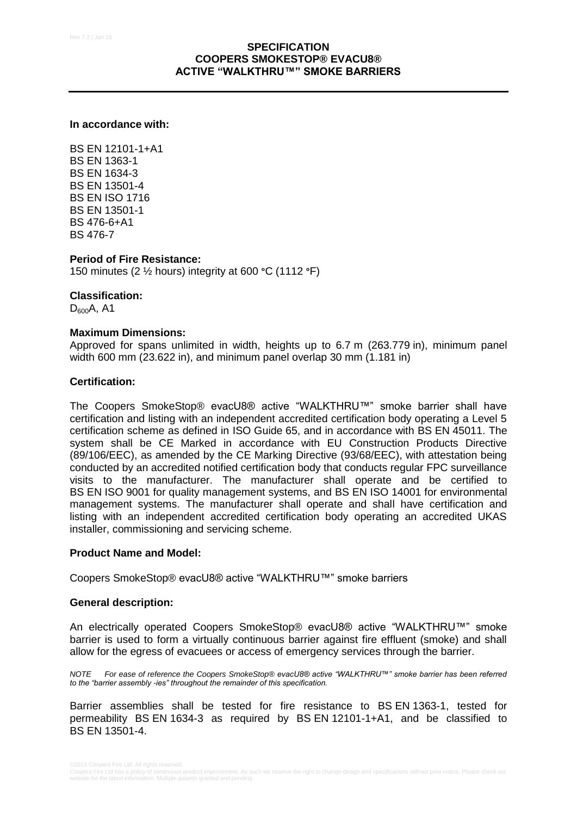## **In accordance with:**

BS EN 12101-1+A1 BS EN 1363-1 BS EN 1634-3 BS EN 13501-4 BS EN ISO 1716 BS EN 13501-1 BS 476-6+A1 BS 476-7

#### **Period of Fire Resistance:**

150 minutes (2 ½ hours) integrity at 600 **°**C (1112 **°**F)

#### **Classification:**

 $D_{600}A$ , A1

# **Maximum Dimensions:**

Approved for spans unlimited in width, heights up to 6.7 m (263.779 in), minimum panel width 600 mm (23.622 in), and minimum panel overlap 30 mm (1.181 in)

#### **Certification:**

The Coopers SmokeStop® evacU8® active "WALKTHRU™" smoke barrier shall have certification and listing with an independent accredited certification body operating a Level 5 certification scheme as defined in ISO Guide 65, and in accordance with BS EN 45011. The system shall be CE Marked in accordance with EU Construction Products Directive (89/106/EEC), as amended by the CE Marking Directive (93/68/EEC), with attestation being conducted by an accredited notified certification body that conducts regular FPC surveillance visits to the manufacturer. The manufacturer shall operate and be certified to BS EN ISO 9001 for quality management systems, and BS EN ISO 14001 for environmental management systems. The manufacturer shall operate and shall have certification and listing with an independent accredited certification body operating an accredited UKAS installer, commissioning and servicing scheme.

#### **Product Name and Model:**

Coopers SmokeStop® evacU8® active "WALKTHRU™" smoke barriers

#### **General description:**

An electrically operated Coopers SmokeStop® evacU8® active "WALKTHRU™" smoke barrier is used to form a virtually continuous barrier against fire effluent (smoke) and shall allow for the egress of evacuees or access of emergency services through the barrier.

*NOTE For ease of reference the Coopers SmokeStop® evacU8® active "WALKTHRU™" smoke barrier has been referred to the "barrier assembly -ies" throughout the remainder of this specification.*

Barrier assemblies shall be tested for fire resistance to BS EN 1363-1, tested for permeability BS EN 1634-3 as required by BS EN 12101-1+A1, and be classified to BS EN 13501-4.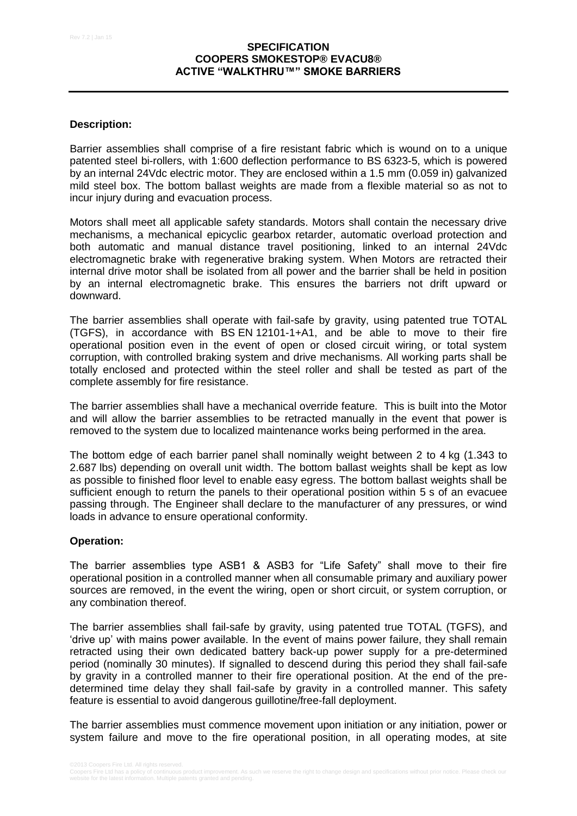# **Description:**

Barrier assemblies shall comprise of a fire resistant fabric which is wound on to a unique patented steel bi-rollers, with 1:600 deflection performance to BS 6323-5, which is powered by an internal 24Vdc electric motor. They are enclosed within a 1.5 mm (0.059 in) galvanized mild steel box. The bottom ballast weights are made from a flexible material so as not to incur injury during and evacuation process.

Motors shall meet all applicable safety standards. Motors shall contain the necessary drive mechanisms, a mechanical epicyclic gearbox retarder, automatic overload protection and both automatic and manual distance travel positioning, linked to an internal 24Vdc electromagnetic brake with regenerative braking system. When Motors are retracted their internal drive motor shall be isolated from all power and the barrier shall be held in position by an internal electromagnetic brake. This ensures the barriers not drift upward or downward.

The barrier assemblies shall operate with fail-safe by gravity, using patented true TOTAL (TGFS), in accordance with BS EN 12101-1+A1, and be able to move to their fire operational position even in the event of open or closed circuit wiring, or total system corruption, with controlled braking system and drive mechanisms. All working parts shall be totally enclosed and protected within the steel roller and shall be tested as part of the complete assembly for fire resistance.

The barrier assemblies shall have a mechanical override feature. This is built into the Motor and will allow the barrier assemblies to be retracted manually in the event that power is removed to the system due to localized maintenance works being performed in the area.

The bottom edge of each barrier panel shall nominally weight between 2 to 4 kg (1.343 to 2.687 lbs) depending on overall unit width. The bottom ballast weights shall be kept as low as possible to finished floor level to enable easy egress. The bottom ballast weights shall be sufficient enough to return the panels to their operational position within 5 s of an evacuee passing through. The Engineer shall declare to the manufacturer of any pressures, or wind loads in advance to ensure operational conformity.

### **Operation:**

The barrier assemblies type ASB1 & ASB3 for "Life Safety" shall move to their fire operational position in a controlled manner when all consumable primary and auxiliary power sources are removed, in the event the wiring, open or short circuit, or system corruption, or any combination thereof.

The barrier assemblies shall fail-safe by gravity, using patented true TOTAL (TGFS), and 'drive up' with mains power available. In the event of mains power failure, they shall remain retracted using their own dedicated battery back-up power supply for a pre-determined period (nominally 30 minutes). If signalled to descend during this period they shall fail-safe by gravity in a controlled manner to their fire operational position. At the end of the predetermined time delay they shall fail-safe by gravity in a controlled manner. This safety feature is essential to avoid dangerous guillotine/free-fall deployment.

The barrier assemblies must commence movement upon initiation or any initiation, power or system failure and move to the fire operational position, in all operating modes, at site

Coopers Fire Ltd has a policy of continuous product improvement. As such we reserve the right to change design and specifications without prior notice. Please check our<br>website for the latest information. Multiple patents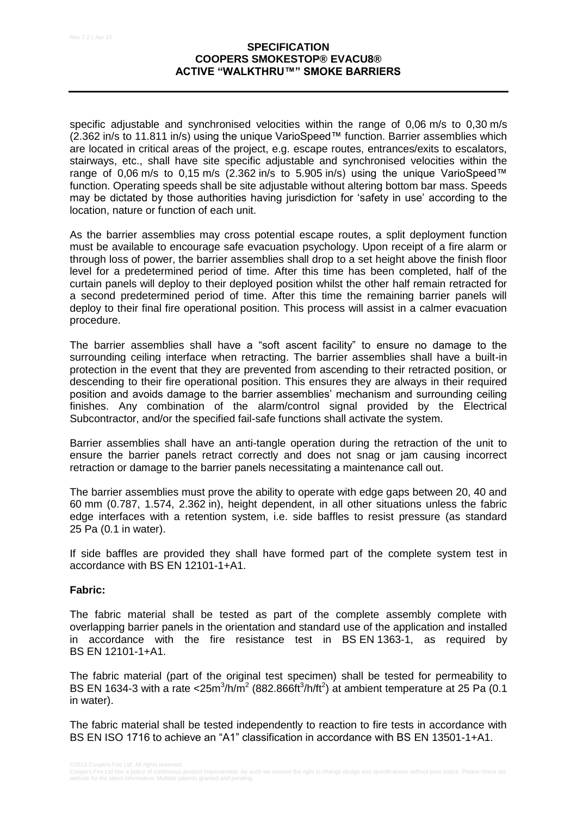specific adjustable and synchronised velocities within the range of 0.06 m/s to 0.30 m/s (2.362 in/s to 11.811 in/s) using the unique VarioSpeed™ function. Barrier assemblies which are located in critical areas of the project, e.g. escape routes, entrances/exits to escalators, stairways, etc., shall have site specific adjustable and synchronised velocities within the range of 0,06 m/s to 0,15 m/s (2.362 in/s to 5.905 in/s) using the unique VarioSpeed™ function. Operating speeds shall be site adjustable without altering bottom bar mass. Speeds may be dictated by those authorities having jurisdiction for 'safety in use' according to the location, nature or function of each unit.

As the barrier assemblies may cross potential escape routes, a split deployment function must be available to encourage safe evacuation psychology. Upon receipt of a fire alarm or through loss of power, the barrier assemblies shall drop to a set height above the finish floor level for a predetermined period of time. After this time has been completed, half of the curtain panels will deploy to their deployed position whilst the other half remain retracted for a second predetermined period of time. After this time the remaining barrier panels will deploy to their final fire operational position. This process will assist in a calmer evacuation procedure.

The barrier assemblies shall have a "soft ascent facility" to ensure no damage to the surrounding ceiling interface when retracting. The barrier assemblies shall have a built-in protection in the event that they are prevented from ascending to their retracted position, or descending to their fire operational position. This ensures they are always in their required position and avoids damage to the barrier assemblies' mechanism and surrounding ceiling finishes. Any combination of the alarm/control signal provided by the Electrical Subcontractor, and/or the specified fail-safe functions shall activate the system.

Barrier assemblies shall have an anti-tangle operation during the retraction of the unit to ensure the barrier panels retract correctly and does not snag or jam causing incorrect retraction or damage to the barrier panels necessitating a maintenance call out.

The barrier assemblies must prove the ability to operate with edge gaps between 20, 40 and 60 mm (0.787, 1.574, 2.362 in), height dependent, in all other situations unless the fabric edge interfaces with a retention system, i.e. side baffles to resist pressure (as standard 25 Pa (0.1 in water).

If side baffles are provided they shall have formed part of the complete system test in accordance with BS EN 12101-1+A1.

### **Fabric:**

The fabric material shall be tested as part of the complete assembly complete with overlapping barrier panels in the orientation and standard use of the application and installed in accordance with the fire resistance test in BS EN 1363-1, as required by BS EN 12101-1+A1.

The fabric material (part of the original test specimen) shall be tested for permeability to BS EN 1634-3 with a rate < $25m^3/h/m^2$  (882.866ft $h$ /ft<sup>2</sup>) at ambient temperature at 25 Pa (0.1 in water).

The fabric material shall be tested independently to reaction to fire tests in accordance with BS EN ISO 1716 to achieve an "A1" classification in accordance with BS EN 13501-1+A1.

Coopers Fire Ltd has a policy of continuous product improvement. As such we reserve the right to change design and specifications without prior notice. Please check our<br>website for the latest information. Multiple patents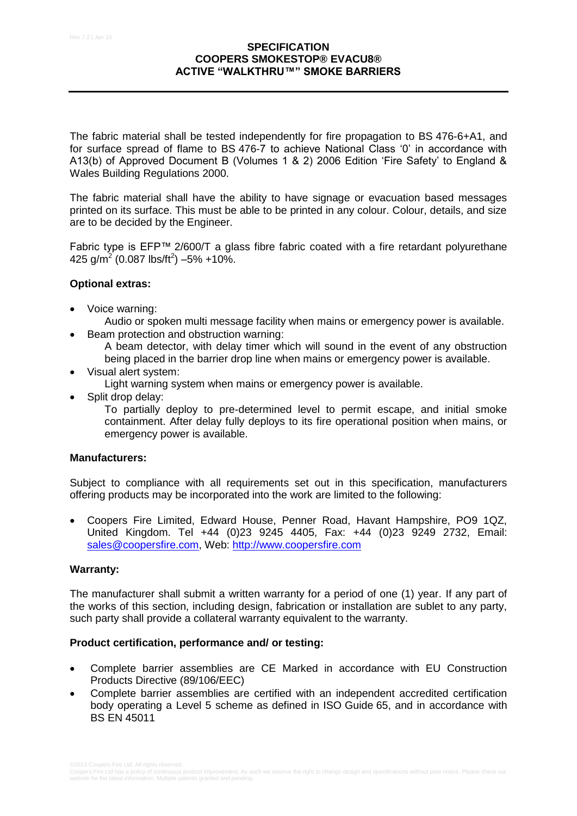The fabric material shall be tested independently for fire propagation to BS 476-6+A1, and for surface spread of flame to BS 476-7 to achieve National Class '0' in accordance with A13(b) of Approved Document B (Volumes 1 & 2) 2006 Edition 'Fire Safety' to England & Wales Building Regulations 2000.

The fabric material shall have the ability to have signage or evacuation based messages printed on its surface. This must be able to be printed in any colour. Colour, details, and size are to be decided by the Engineer.

Fabric type is EFP™ 2/600/T a glass fibre fabric coated with a fire retardant polyurethane 425 g/m<sup>2</sup> (0.087 lbs/ft<sup>2</sup>)  $-5\%$  +10%.

# **Optional extras:**

- Voice warning:
	- Audio or spoken multi message facility when mains or emergency power is available.
- Beam protection and obstruction warning:
	- A beam detector, with delay timer which will sound in the event of any obstruction being placed in the barrier drop line when mains or emergency power is available.
- Visual alert system:
	- Light warning system when mains or emergency power is available.
- Split drop delay:

To partially deploy to pre-determined level to permit escape, and initial smoke containment. After delay fully deploys to its fire operational position when mains, or emergency power is available.

### **Manufacturers:**

Subject to compliance with all requirements set out in this specification, manufacturers offering products may be incorporated into the work are limited to the following:

 Coopers Fire Limited, Edward House, Penner Road, Havant Hampshire, PO9 1QZ, United Kingdom. Tel +44 (0)23 9245 4405, Fax: +44 (0)23 9249 2732, Email: [sales@coopersfire.com,](mailto:sales@coopersfire.com) Web: [http://www.coopersfire.com](http://www.coopersfire.com/)

### **Warranty:**

The manufacturer shall submit a written warranty for a period of one (1) year. If any part of the works of this section, including design, fabrication or installation are sublet to any party, such party shall provide a collateral warranty equivalent to the warranty.

### **Product certification, performance and/ or testing:**

- Complete barrier assemblies are CE Marked in accordance with EU Construction Products Directive (89/106/EEC)
- Complete barrier assemblies are certified with an independent accredited certification body operating a Level 5 scheme as defined in ISO Guide 65, and in accordance with BS EN 45011